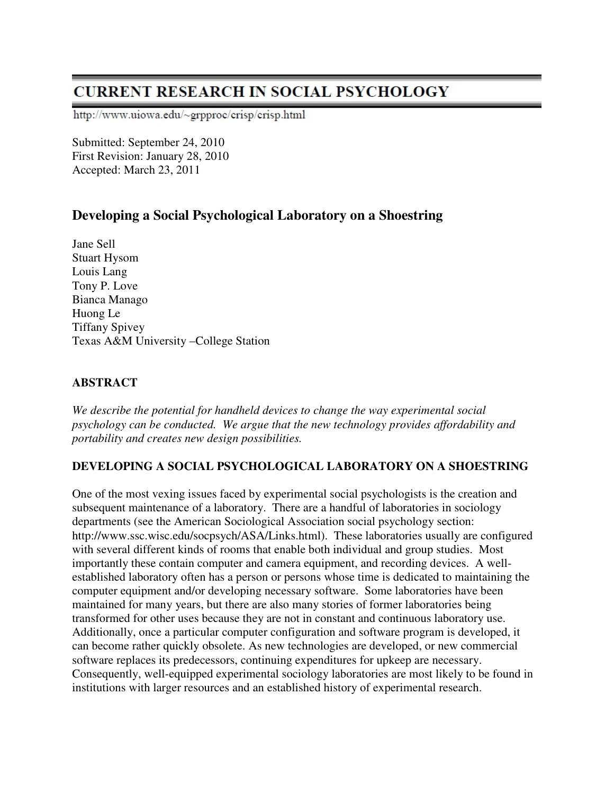# **CURRENT RESEARCH IN SOCIAL PSYCHOLOGY**

http://www.uiowa.edu/~grpproc/crisp/crisp.html

Submitted: September 24, 2010 First Revision: January 28, 2010 Accepted: March 23, 2011

## **Developing a Social Psychological Laboratory on a Shoestring**

Jane Sell Stuart Hysom Louis Lang Tony P. Love Bianca Manago Huong Le Tiffany Spivey Texas A&M University –College Station

## **ABSTRACT**

*We describe the potential for handheld devices to change the way experimental social psychology can be conducted. We argue that the new technology provides affordability and portability and creates new design possibilities.* 

## **DEVELOPING A SOCIAL PSYCHOLOGICAL LABORATORY ON A SHOESTRING**

One of the most vexing issues faced by experimental social psychologists is the creation and subsequent maintenance of a laboratory. There are a handful of laboratories in sociology departments (see the American Sociological Association social psychology section: http://www.ssc.wisc.edu/socpsych/ASA/Links.html). These laboratories usually are configured with several different kinds of rooms that enable both individual and group studies. Most importantly these contain computer and camera equipment, and recording devices. A wellestablished laboratory often has a person or persons whose time is dedicated to maintaining the computer equipment and/or developing necessary software. Some laboratories have been maintained for many years, but there are also many stories of former laboratories being transformed for other uses because they are not in constant and continuous laboratory use. Additionally, once a particular computer configuration and software program is developed, it can become rather quickly obsolete. As new technologies are developed, or new commercial software replaces its predecessors, continuing expenditures for upkeep are necessary. Consequently, well-equipped experimental sociology laboratories are most likely to be found in institutions with larger resources and an established history of experimental research.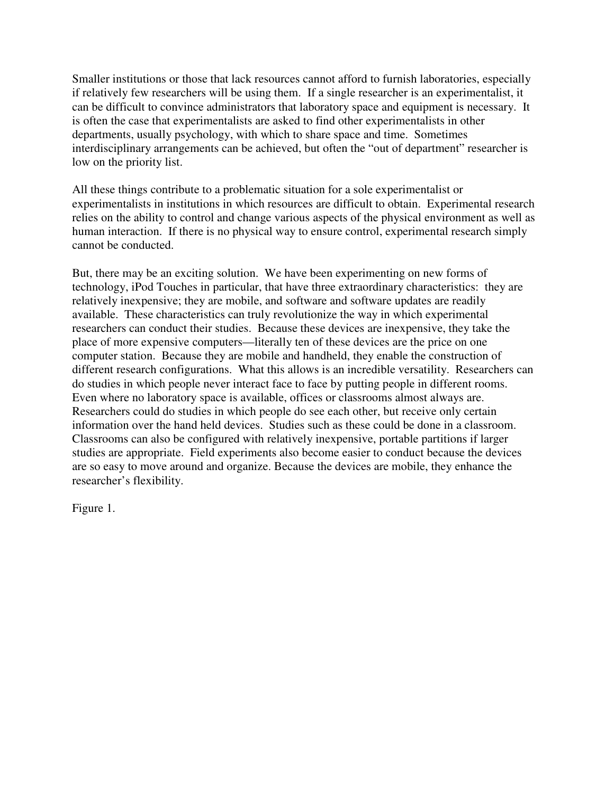Smaller institutions or those that lack resources cannot afford to furnish laboratories, especially if relatively few researchers will be using them. If a single researcher is an experimentalist, it can be difficult to convince administrators that laboratory space and equipment is necessary. It is often the case that experimentalists are asked to find other experimentalists in other departments, usually psychology, with which to share space and time. Sometimes interdisciplinary arrangements can be achieved, but often the "out of department" researcher is low on the priority list.

All these things contribute to a problematic situation for a sole experimentalist or experimentalists in institutions in which resources are difficult to obtain. Experimental research relies on the ability to control and change various aspects of the physical environment as well as human interaction. If there is no physical way to ensure control, experimental research simply cannot be conducted.

But, there may be an exciting solution. We have been experimenting on new forms of technology, iPod Touches in particular, that have three extraordinary characteristics: they are relatively inexpensive; they are mobile, and software and software updates are readily available. These characteristics can truly revolutionize the way in which experimental researchers can conduct their studies. Because these devices are inexpensive, they take the place of more expensive computers—literally ten of these devices are the price on one computer station. Because they are mobile and handheld, they enable the construction of different research configurations. What this allows is an incredible versatility. Researchers can do studies in which people never interact face to face by putting people in different rooms. Even where no laboratory space is available, offices or classrooms almost always are. Researchers could do studies in which people do see each other, but receive only certain information over the hand held devices. Studies such as these could be done in a classroom. Classrooms can also be configured with relatively inexpensive, portable partitions if larger studies are appropriate. Field experiments also become easier to conduct because the devices are so easy to move around and organize. Because the devices are mobile, they enhance the researcher's flexibility.

Figure 1.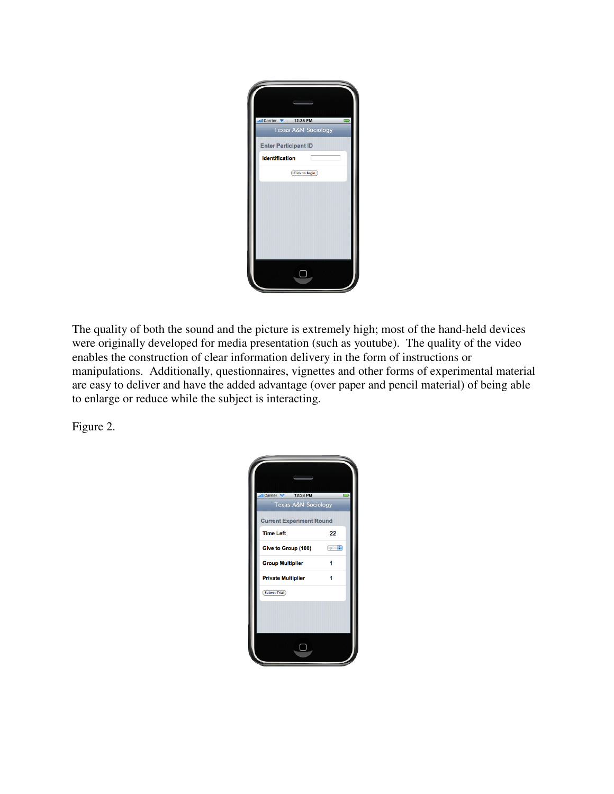| all Carrier $\approx$ 12:38 PM |  |
|--------------------------------|--|
| <b>Texas A&amp;M Sociology</b> |  |
| <b>Enter Participant ID</b>    |  |
| <b>Identification</b>          |  |
| <b>Click to Begin</b>          |  |
|                                |  |
|                                |  |
|                                |  |
|                                |  |
|                                |  |
|                                |  |
|                                |  |
|                                |  |
|                                |  |

The quality of both the sound and the picture is extremely high; most of the hand-held devices were originally developed for media presentation (such as youtube). The quality of the video enables the construction of clear information delivery in the form of instructions or manipulations. Additionally, questionnaires, vignettes and other forms of experimental material are easy to deliver and have the added advantage (over paper and pencil material) of being able to enlarge or reduce while the subject is interacting.

Figure 2.

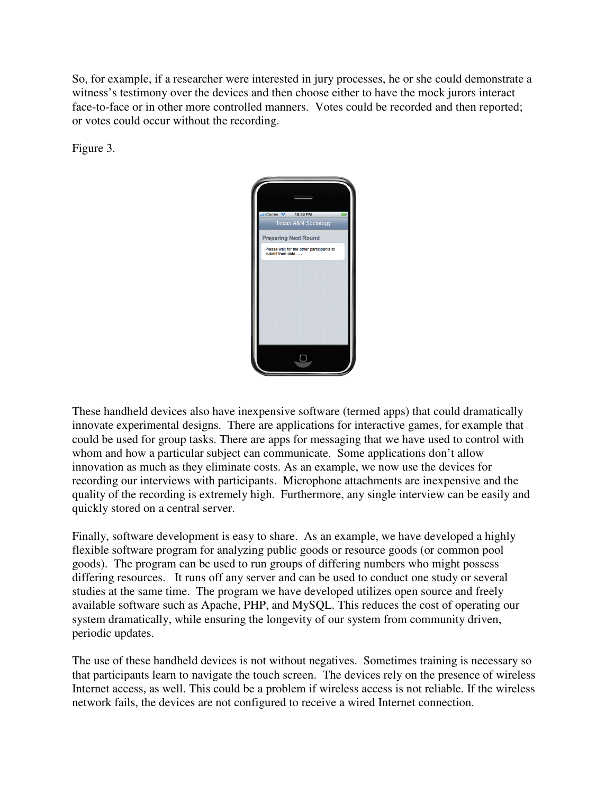So, for example, if a researcher were interested in jury processes, he or she could demonstrate a witness's testimony over the devices and then choose either to have the mock jurors interact face-to-face or in other more controlled manners. Votes could be recorded and then reported; or votes could occur without the recording.

Figure 3.



These handheld devices also have inexpensive software (termed apps) that could dramatically innovate experimental designs. There are applications for interactive games, for example that could be used for group tasks. There are apps for messaging that we have used to control with whom and how a particular subject can communicate. Some applications don't allow innovation as much as they eliminate costs. As an example, we now use the devices for recording our interviews with participants. Microphone attachments are inexpensive and the quality of the recording is extremely high. Furthermore, any single interview can be easily and quickly stored on a central server.

Finally, software development is easy to share. As an example, we have developed a highly flexible software program for analyzing public goods or resource goods (or common pool goods). The program can be used to run groups of differing numbers who might possess differing resources. It runs off any server and can be used to conduct one study or several studies at the same time. The program we have developed utilizes open source and freely available software such as Apache, PHP, and MySQL. This reduces the cost of operating our system dramatically, while ensuring the longevity of our system from community driven, periodic updates.

The use of these handheld devices is not without negatives. Sometimes training is necessary so that participants learn to navigate the touch screen. The devices rely on the presence of wireless Internet access, as well. This could be a problem if wireless access is not reliable. If the wireless network fails, the devices are not configured to receive a wired Internet connection.